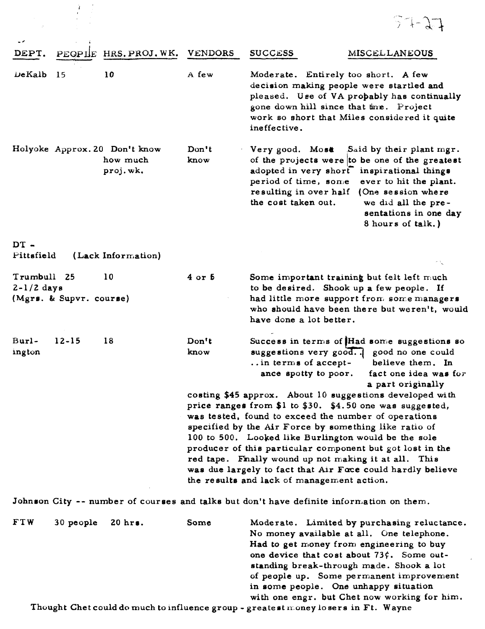|                                                        |           |                                                       |                |                                                                                                                                                                                                                                                                                                                                                                                                                                                                                                                                 | $27 - 7 - 1$                                                                                                                                                                                      |
|--------------------------------------------------------|-----------|-------------------------------------------------------|----------------|---------------------------------------------------------------------------------------------------------------------------------------------------------------------------------------------------------------------------------------------------------------------------------------------------------------------------------------------------------------------------------------------------------------------------------------------------------------------------------------------------------------------------------|---------------------------------------------------------------------------------------------------------------------------------------------------------------------------------------------------|
| DEPT.                                                  | PEOPIE    | HRS. PROJ. WK.                                        | <b>VENDORS</b> | <b>SUCCESS</b>                                                                                                                                                                                                                                                                                                                                                                                                                                                                                                                  | <b>MISCELLANEOUS</b>                                                                                                                                                                              |
| DeKalb<br>15                                           |           | 10                                                    | A few          | Moderate. Entirely too short. A few<br>decision making people were startled and<br>gone down hill since that time. Project<br>work so short that Miles considered it quite<br>ineffective.                                                                                                                                                                                                                                                                                                                                      | pleased. Use of VA propably has continually                                                                                                                                                       |
|                                                        |           | Holyoke Approx. 20 Don't know<br>how much<br>proj.wk. | Don't<br>know  | Very good. Most<br>adopted in very short<br>period of time, some<br>resulting in over half (One session where<br>the cost taken out.                                                                                                                                                                                                                                                                                                                                                                                            | Said by their plant mgr.<br>of the projects were to be one of the greatest<br>inspirational things<br>ever to hit the plant.<br>we did all the pre-<br>sentations in one day<br>8 hours of talk.) |
| $DT -$<br>Pittsfield                                   |           | (Lack Information)                                    |                |                                                                                                                                                                                                                                                                                                                                                                                                                                                                                                                                 |                                                                                                                                                                                                   |
| Trumbull 25<br>$2-1/2$ days<br>(Mgrs. & Supvr. course) |           | 10                                                    | $4$ or $5$     | Some important training but felt left much<br>to be desired. Shook up a few people. If<br>had little more support from some managers<br>have done a lot better.                                                                                                                                                                                                                                                                                                                                                                 | who should have been there but weren't, would                                                                                                                                                     |
| Burl-<br>ington                                        | $12 - 15$ | 18                                                    | Don't<br>know  | suggestions very good good no one could<br>$\ldots$ in terms of accept-<br>ance spotty to poor.                                                                                                                                                                                                                                                                                                                                                                                                                                 | Success in terms of Had some suggestions so<br>believe them. In<br>fact one idea was for<br>a part originally                                                                                     |
|                                                        |           |                                                       |                | costing \$45 approx. About 10 suggestions developed with<br>price ranges from \$1 to \$30. \$4.50 one was suggested,<br>was tested, found to exceed the number of operations<br>specified by the Air Force by something like ratio of<br>100 to 500. Looked like Burlington would be the sole<br>producer of this particular component but got lost in the<br>red tape. Finally wound up not making it at all. This<br>was due largely to fact that Air Foce could hardly believe<br>the results and lack of management action. |                                                                                                                                                                                                   |
|                                                        |           |                                                       |                | Johnson City -- number of courses and talks but don't have definite information on them.                                                                                                                                                                                                                                                                                                                                                                                                                                        |                                                                                                                                                                                                   |
|                                                        |           |                                                       |                |                                                                                                                                                                                                                                                                                                                                                                                                                                                                                                                                 |                                                                                                                                                                                                   |

**FTW** 30people 20hrr. **Some**  Thought Chet could do much to influence group - greatest money losers in Ft. Wayne Moderate. Limited by purchasing reluctance. No money available at all. One telephone. Had to get money from engineering to buy one device that cost about 73 $\zeta$ . Some outstanding break-through made. Shook a lot of people up. Some permanent improvement in **some** people. **One** unhappy situation with one engr. but Chet now working for him.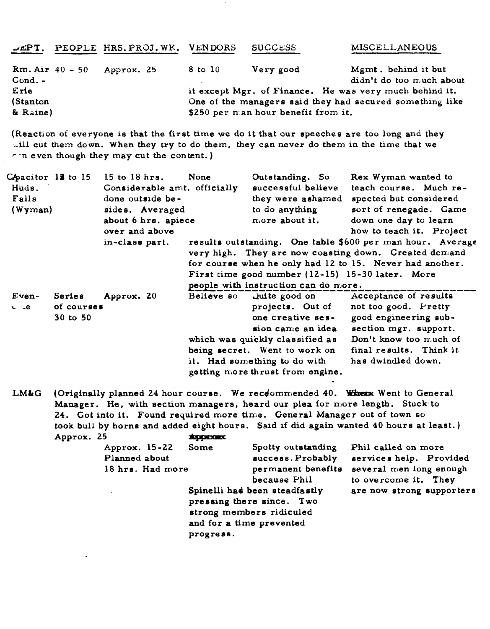| JEPT,                                                          | PEOPLE HRS. PROJ. WK. VENDORS |         | <b>SUCCESS</b>                                   | <b>MISCELLANEOUS</b>                                                                                                                                                            |
|----------------------------------------------------------------|-------------------------------|---------|--------------------------------------------------|---------------------------------------------------------------------------------------------------------------------------------------------------------------------------------|
| $Rm. Air 40 - 50$<br>$Cond. -$<br>Erie<br>(Stanton<br>& Raine) | Approx. 25                    | 8 to 10 | Very good<br>\$250 per man hour benefit from it. | Mgmt. behind it but<br>$\text{diam}$ 't do too much about<br>it except Mgr. of Finance. He was very much behind it.<br>One of the managers said they had secured something like |

(Reaction of everyone is that the first **time we** do it #at our epeechee **are** too long and they will cut them down. When they try to do them, they can never do them in the time that we **-n** even though they may cut **the** content. )

| CApacitor 12 to 15<br>Huds.<br>Falls<br>(Wyman) |                                  | $15$ to $18$ hrs.<br>Considerable amt. officially<br>done outside be-<br>sides. Averaged | None | Outstanding. So<br>successful believe<br>they were ashamed<br>to do anything                                                                                                                       | Rex Wyman wanted to<br>teach course. Much re-<br>spected but considered<br>sort of renegade. Came                                                                                                                                   |
|-------------------------------------------------|----------------------------------|------------------------------------------------------------------------------------------|------|----------------------------------------------------------------------------------------------------------------------------------------------------------------------------------------------------|-------------------------------------------------------------------------------------------------------------------------------------------------------------------------------------------------------------------------------------|
|                                                 |                                  | about 6 hrs. apiece<br>over and above                                                    |      | more about it.                                                                                                                                                                                     | down one day to learn<br>how to teach it. Project                                                                                                                                                                                   |
|                                                 |                                  | in-class part.                                                                           |      | people with instruction can do more.                                                                                                                                                               | results outstanding. One table \$600 per man hour. Average<br>very high. They are now coasting down. Created demand<br>for course when he only had 12 to 15. Never had another.<br>First time good number (12-15) 15-30 later. More |
| Even-<br>$C^*$ $AC$                             | Series<br>of courses<br>30 to 50 | Approx. 20                                                                               |      | projects. Out of<br>one creative ses-<br>sion came an idea<br>which was quickly classified as<br>being secret. Went to work on<br>it. Had something to do with<br>getting more thrust from engine. | Believe so Quite good on Acceptance of results<br>not too good. Pretty<br>good engineering sub-<br>section mgr. support.<br>Don't know too much of<br>final results. Think it<br>has dwindled down.                                 |

**LMGG**  (Originally planned 24 hour course. We recommended 40. When Went to General Manager. He, with section managers, heard our plea **for more length.** Stuck- to 24. Got into it. Found required more time. General Manager out of town so took bull by horns and added eight hours. Said if did again wanted 40 hours at least.) Approx. **25**  which was quickly<br>being secret. We<br>it. Had somethin<br>getting more thrus<br>course. We recession<br>managers, heard<br>ired more time.<br>eight hours. Sai<br>suppromongers and the second<br>Some Spot<br>succ

| Approx. 15-22<br>Planned about<br>18 hrs. Had more | Some<br>and for a time prevented<br>progress. | Spotty outstanding<br>success. Probably<br>permanent benefits<br>because Phil<br>Spinelli had been steadfastly<br>pressing there since. Two<br>strong members ridiculed | Phil called on more<br>services help. Provided<br>several men long enough<br>to overcome it. They<br>are now strong supporters |
|----------------------------------------------------|-----------------------------------------------|-------------------------------------------------------------------------------------------------------------------------------------------------------------------------|--------------------------------------------------------------------------------------------------------------------------------|
|                                                    |                                               |                                                                                                                                                                         |                                                                                                                                |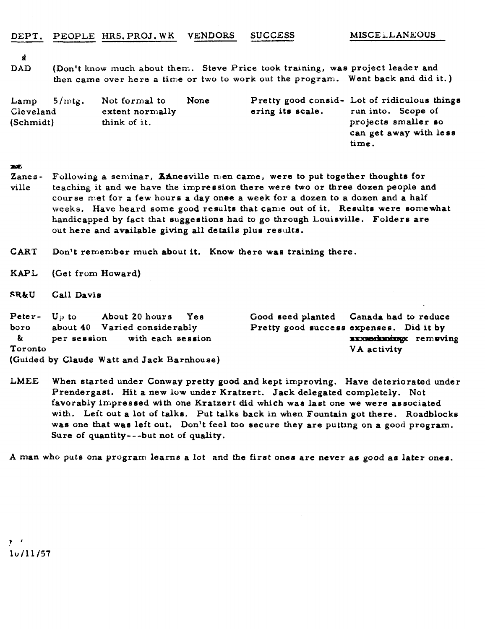**nt** 

**DAD** (Don't **know** much **about** them. Steve Price took training, was project leader and **then** came over here a time or two to work out the program. Went back and did it. )

| Lamp      | $5/mt$ g. | Not formal to   | None |                     | Pretty good consid- Lot of ridiculous things |
|-----------|-----------|-----------------|------|---------------------|----------------------------------------------|
| Cleveland |           | extent normally |      | ering its scale.    | run into. Scope of                           |
| (Schmidt) |           | think of it.    |      | projects smaller so |                                              |
|           |           |                 |      |                     | can get away with less                       |
|           |           |                 |      |                     | time.                                        |

## $250%$

- Zanes- Following a seminar, ZAnesville men came, **were** to put together thoughts for ville **teaching** it and we have **the** impression there were two or three dozen people and course met for a few hours a day onee a week for a dozen to a dozen and a half **weeks.** Have heard some good results that came out of it. Results were somewhat handicapped by fact that suggestions had to go through Louisville. Folders are out here and available giving all details plus results.
- **CART** Don't remember much about it. Know there wae training there.
- **KAPL** (Get from Howard)
- **FR&U** Call Davis

| <b>Peter-</b> $U_D$ to | About 20 hours Yes                         | Good seed planted Canada had to reduce  |                       |  |
|------------------------|--------------------------------------------|-----------------------------------------|-----------------------|--|
| boro                   | about 40 Varied considerably               | Pretty good success expenses. Did it by |                       |  |
| &                      | per session with each session              |                                         | xxxxeduoixxx removing |  |
| Toronto                |                                            |                                         | VA activity           |  |
|                        | (Guided by Claude Watt and Jack Barnhouse) |                                         |                       |  |

**LMEE** When started under Gonway pretty good and kept improving. Have deteriorated under Prendergast. Hit a new low under Kratzert. Jack delegated completely. Not favorably impressed with one Kratzert did which was last one we were associated with. Left out **a** lot of talks. Put talks back in when Fountain got there. Roadblocke was one that was left out. Don't feel too secure they are putting on **a** good program. Sure of quantity---but not of quality.

A man **who** puts **ono program** learns a lot **and** the first ones are never as **good as later ones.** 

 $\mathbf{y} = \mathbf{r}$  $10/11/57$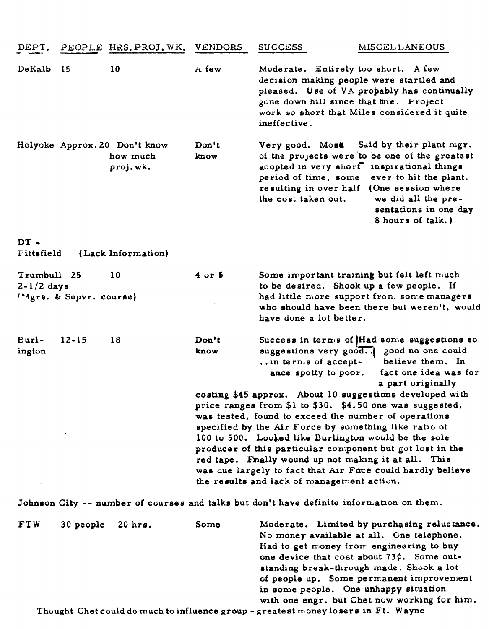| DEPT.                       |                         | PEOPLE HRS. PROJ. WK.                                 | <b>VENDORS</b>                                                                                                                                                                                                                                                                                                                                                                                                                                                                                                                                       | <b>SUCCESS</b>                                                                                 | <b>MISCEL LANEOUS</b>                                                                                                                                                                                                                                                            |
|-----------------------------|-------------------------|-------------------------------------------------------|------------------------------------------------------------------------------------------------------------------------------------------------------------------------------------------------------------------------------------------------------------------------------------------------------------------------------------------------------------------------------------------------------------------------------------------------------------------------------------------------------------------------------------------------------|------------------------------------------------------------------------------------------------|----------------------------------------------------------------------------------------------------------------------------------------------------------------------------------------------------------------------------------------------------------------------------------|
| DeKalb                      | -15                     | 10                                                    | A few                                                                                                                                                                                                                                                                                                                                                                                                                                                                                                                                                | Moderate. Entirely too short. A few<br>gone down hill since that time. Project<br>ineffective. | decision making people were startled and<br>pleased. Use of VA probably has continually<br>work so short that Miles considered it quite                                                                                                                                          |
|                             |                         | Holyoke Approx. 20 Don't know<br>how much<br>proj.wk. | Don't<br>know                                                                                                                                                                                                                                                                                                                                                                                                                                                                                                                                        | Very good. Most<br>period of time, some<br>resulting in over half<br>the cost taken out.       | Said by their plant mgr.<br>of the projects were to be one of the greatest<br>adopted in very short" inspirational things<br>ever to hit the plant.<br>(One session where<br>we did all the pre-<br>sentations in one day<br>8 hours of talk.)                                   |
| $DT -$<br>Pittsfield        |                         | (Lack Information)                                    |                                                                                                                                                                                                                                                                                                                                                                                                                                                                                                                                                      |                                                                                                |                                                                                                                                                                                                                                                                                  |
| Trumbull 25<br>$2-1/2$ days | "Mgrs. & Supvr. course) | 10                                                    | $4$ or $5$                                                                                                                                                                                                                                                                                                                                                                                                                                                                                                                                           | have done a lot better.                                                                        | Some important training but felt left much<br>to be desired. Shook up a few people. If<br>had little more support from some managers<br>who should have been there but weren't, would                                                                                            |
| Burl-<br>ington             | $12 - 15$               | 18                                                    | Don't<br>know                                                                                                                                                                                                                                                                                                                                                                                                                                                                                                                                        | suggestions very good.<br>in terms of accept-<br>ance spotty to poor.                          | Success in terms of Had some suggestions so<br>good no one could<br>believe them. In<br>fact one idea was for                                                                                                                                                                    |
|                             |                         |                                                       | a part originally<br>costing \$45 approx. About 10 suggestions developed with<br>price ranges from \$1 to \$30. \$4.50 one was suggested,<br>was tested, found to exceed the number of operations<br>specified by the Air Force by something like ratio of<br>100 to 500. Looked like Burlington would be the sole<br>producer of this particular component but got lost in the<br>red tape. Finally wound up not making it at all. This<br>was due largely to fact that Air Foce could hardly believe<br>the results and lack of management action. |                                                                                                |                                                                                                                                                                                                                                                                                  |
|                             |                         |                                                       |                                                                                                                                                                                                                                                                                                                                                                                                                                                                                                                                                      | Johnson City -- number of courses and talks but don't have definite information on them.       |                                                                                                                                                                                                                                                                                  |
| FTW                         | 30 people               | 20 hrs.                                               | Some                                                                                                                                                                                                                                                                                                                                                                                                                                                                                                                                                 | in some people. One unhappy situation                                                          | Moderate. Limited by purchasing reluctance.<br>No money available at all. One telephone.<br>Had to get money from engineering to buy<br>one device that cost about $73\zeta$ . Some out-<br>standing break-through made. Shook a lot<br>of people up. Some permanent improvement |

Thought Chet could do much to influence group - greatest **rr** oney lo sere in Ft. **Wayne** 

with one engr. but Chet now working for him.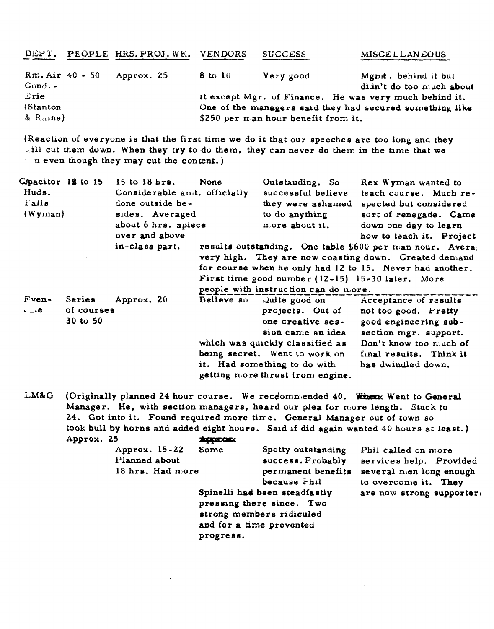| DEPT.                         | PEOPLE HRS. PROJ. WK. VENDORS |                                                          | <b>SUCCESS</b> | <b>MISCELLANEOUS</b>                                   |  |
|-------------------------------|-------------------------------|----------------------------------------------------------|----------------|--------------------------------------------------------|--|
| $Rm. Air 40 - 50$<br>$Cond -$ | Approx. 25                    | 8 to 10                                                  | Very good      | Mgmt. behind it but<br>didn't do too much about        |  |
| Erie                          |                               |                                                          |                | it except Mgr. of Finance. He was very much behind it. |  |
| (Stanton                      |                               | One of the managers said they had secured something like |                |                                                        |  |
| & Raine)                      |                               | \$250 per man hour benefit from it.                      |                |                                                        |  |

(Reaction **of** everyone **is** that the first time we do it that our epeeches are too long and they will cut them down. When they try to do them, they can never do them in the time that we n even though they may cut **the** content. )

| Chacitor 12 to 15<br>Huds.<br>Falls<br>(Wyman) |                                  | $15$ to $18$ hrs.<br>None<br>Considerable amit. officially<br>done outside be-<br>sides. Averaged<br>about 6 hrs. apiece<br>over and above |  | Outstanding. So<br>successful believe<br>they were ashamed<br>to do anything<br>nore about it.                                                                                                     | Rex Wyman wanted to<br>teach course. Much re-<br>spected but considered<br>sort of renegade. Came<br>down one day to learn<br>how to teach it. Project                                              |
|------------------------------------------------|----------------------------------|--------------------------------------------------------------------------------------------------------------------------------------------|--|----------------------------------------------------------------------------------------------------------------------------------------------------------------------------------------------------|-----------------------------------------------------------------------------------------------------------------------------------------------------------------------------------------------------|
|                                                |                                  | in-class part.                                                                                                                             |  | First time good number (12-15) 15-30 later. More<br>people with instruction can do more.                                                                                                           | results outstanding. One table \$600 per man hour. Avera<br>very high. They are now coasting down. Created demand<br>for course when he only had 12 to 15. Never had another.                       |
| $Fven-$<br>$GL_4$                              | Series<br>of courses<br>30 to 50 | Approx. 20                                                                                                                                 |  | projects. Out of<br>one creative ses-<br>sion came an idea<br>which was quickly classified as<br>being secret. Went to work on<br>it. Had something to do with<br>getting more thrust from engine. | Believe so Quite good on Acceptance of results<br>not too good. Fretty<br>good engineering sub-<br>section mgr. support.<br>Don't know too much of<br>final results. Think it<br>has dwindled down. |

which was quickly<br>being secret. We<br>it. Had something<br>getting more thrus<br>course. We receted<br>managers, heard<br>ired more time.<br>eight hours. Said<br>suppromongers of the succession of the succession LM&G (Originally planned 24 hour course. We recdommended 40. Whenx Went to General Manager. He, with section managers, heard our plea for nore length. Stuck to 24. Got **into** it. Found required more time. General Manager out of town **su**  took bull by horns and **added** eight houre. Said if did again wanted 40 hours at least.)

 $\ddot{\phantom{a}}$ 

| Approx. 25 | Approx. 15-22<br>Planned about | 18 hrs. Had more | <b>REQUESTER</b><br>Spotty outstanding<br>Some<br>success. Probably<br>permanent benefits<br>because Phil<br>Spinelli had been steadfastly<br>pressing there since. Two<br>strong members ridiculed<br>and for a time prevented<br>progress. |  | Phil called on more<br>services help. Provided<br>several men long enough |  |
|------------|--------------------------------|------------------|----------------------------------------------------------------------------------------------------------------------------------------------------------------------------------------------------------------------------------------------|--|---------------------------------------------------------------------------|--|
|            |                                |                  |                                                                                                                                                                                                                                              |  | to overcome it. They<br>are now strong supporter:                         |  |